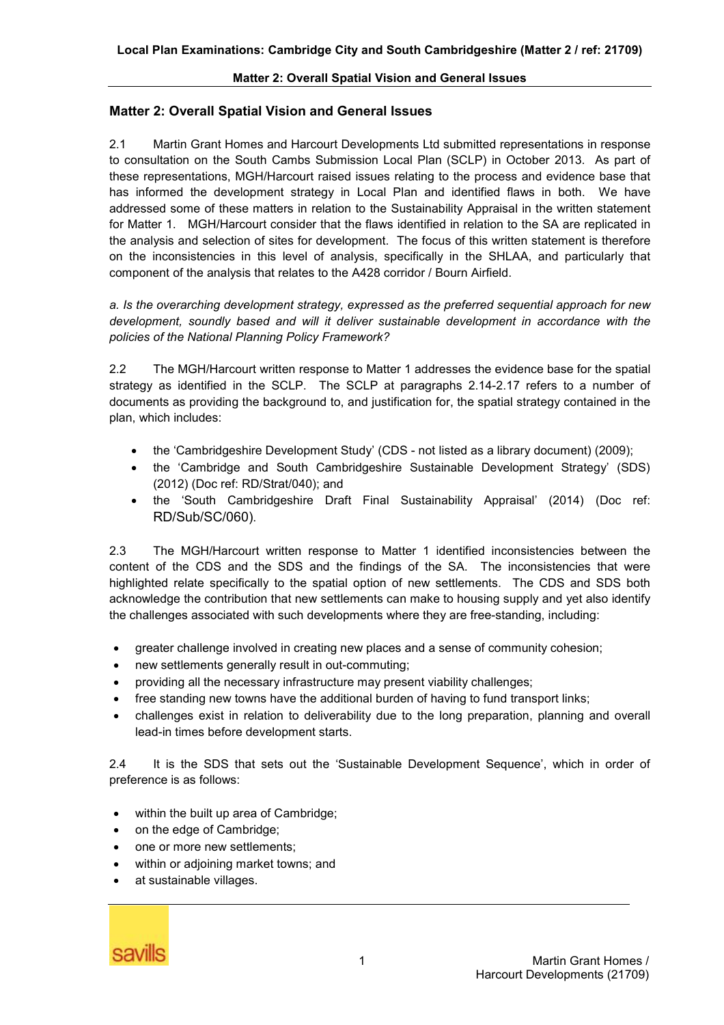# **Matter 2: Overall Spatial Vision and General Issues**

2.1 Martin Grant Homes and Harcourt Developments Ltd submitted representations in response to consultation on the South Cambs Submission Local Plan (SCLP) in October 2013. As part of these representations, MGH/Harcourt raised issues relating to the process and evidence base that has informed the development strategy in Local Plan and identified flaws in both. We have addressed some of these matters in relation to the Sustainability Appraisal in the written statement for Matter 1. MGH/Harcourt consider that the flaws identified in relation to the SA are replicated in the analysis and selection of sites for development. The focus of this written statement is therefore on the inconsistencies in this level of analysis, specifically in the SHLAA, and particularly that component of the analysis that relates to the A428 corridor / Bourn Airfield.

*a. Is the overarching development strategy, expressed as the preferred sequential approach for new development, soundly based and will it deliver sustainable development in accordance with the policies of the National Planning Policy Framework?* 

2.2 The MGH/Harcourt written response to Matter 1 addresses the evidence base for the spatial strategy as identified in the SCLP. The SCLP at paragraphs 2.14-2.17 refers to a number of documents as providing the background to, and justification for, the spatial strategy contained in the plan, which includes:

- · the 'Cambridgeshire Development Study' (CDS not listed as a library document) (2009);
- · the 'Cambridge and South Cambridgeshire Sustainable Development Strategy' (SDS) (2012) (Doc ref: RD/Strat/040); and
- · the 'South Cambridgeshire Draft Final Sustainability Appraisal' (2014) (Doc ref: RD/Sub/SC/060).

2.3 The MGH/Harcourt written response to Matter 1 identified inconsistencies between the content of the CDS and the SDS and the findings of the SA. The inconsistencies that were highlighted relate specifically to the spatial option of new settlements. The CDS and SDS both acknowledge the contribution that new settlements can make to housing supply and yet also identify the challenges associated with such developments where they are free-standing, including:

- greater challenge involved in creating new places and a sense of community cohesion;
- · new settlements generally result in out-commuting;
- · providing all the necessary infrastructure may present viability challenges;
- free standing new towns have the additional burden of having to fund transport links;
- · challenges exist in relation to deliverability due to the long preparation, planning and overall lead-in times before development starts.

2.4 It is the SDS that sets out the 'Sustainable Development Sequence', which in order of preference is as follows:

- within the built up area of Cambridge:
- · on the edge of Cambridge;
- one or more new settlements:
- within or adjoining market towns; and
- at sustainable villages.

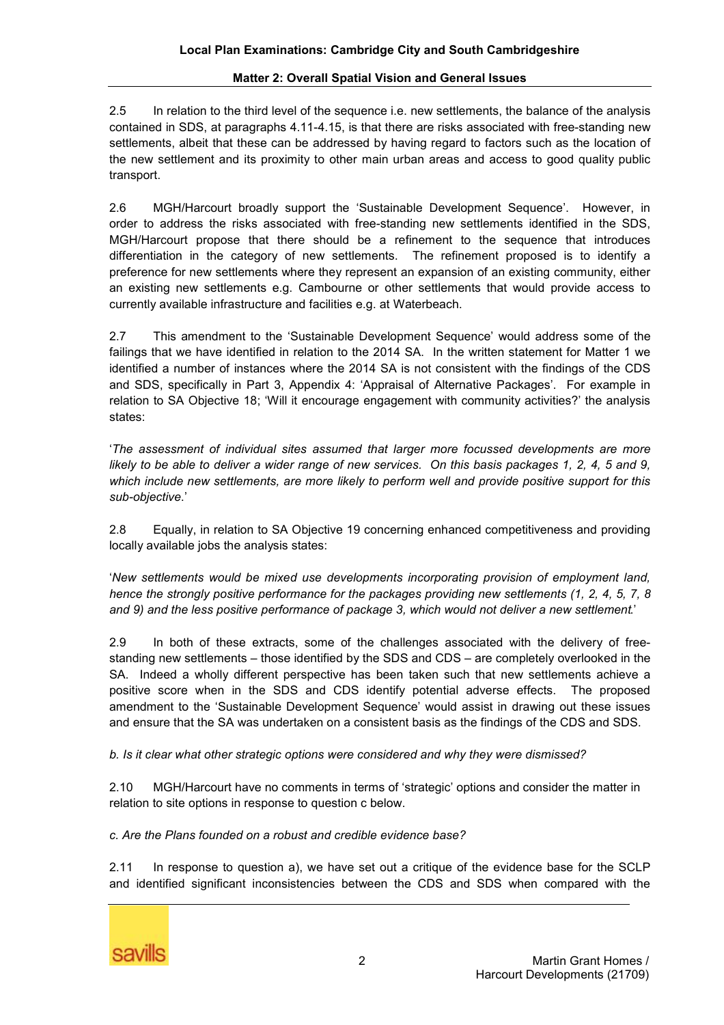2.5 In relation to the third level of the sequence i.e. new settlements, the balance of the analysis contained in SDS, at paragraphs 4.11-4.15, is that there are risks associated with free-standing new settlements, albeit that these can be addressed by having regard to factors such as the location of the new settlement and its proximity to other main urban areas and access to good quality public transport.

2.6 MGH/Harcourt broadly support the 'Sustainable Development Sequence'. However, in order to address the risks associated with free-standing new settlements identified in the SDS, MGH/Harcourt propose that there should be a refinement to the sequence that introduces differentiation in the category of new settlements. The refinement proposed is to identify a preference for new settlements where they represent an expansion of an existing community, either an existing new settlements e.g. Cambourne or other settlements that would provide access to currently available infrastructure and facilities e.g. at Waterbeach.

2.7 This amendment to the 'Sustainable Development Sequence' would address some of the failings that we have identified in relation to the 2014 SA. In the written statement for Matter 1 we identified a number of instances where the 2014 SA is not consistent with the findings of the CDS and SDS, specifically in Part 3, Appendix 4: 'Appraisal of Alternative Packages'. For example in relation to SA Objective 18; 'Will it encourage engagement with community activities?' the analysis states:

'*The assessment of individual sites assumed that larger more focussed developments are more*  likely to be able to deliver a wider range of new services. On this basis packages 1, 2, 4, 5 and 9, *which include new settlements, are more likely to perform well and provide positive support for this sub-objective*.'

2.8 Equally, in relation to SA Objective 19 concerning enhanced competitiveness and providing locally available jobs the analysis states:

'*New settlements would be mixed use developments incorporating provision of employment land, hence the strongly positive performance for the packages providing new settlements (1, 2, 4, 5, 7, 8 and 9) and the less positive performance of package 3, which would not deliver a new settlement*.'

2.9 In both of these extracts, some of the challenges associated with the delivery of freestanding new settlements – those identified by the SDS and CDS – are completely overlooked in the SA. Indeed a wholly different perspective has been taken such that new settlements achieve a positive score when in the SDS and CDS identify potential adverse effects. The proposed amendment to the 'Sustainable Development Sequence' would assist in drawing out these issues and ensure that the SA was undertaken on a consistent basis as the findings of the CDS and SDS.

*b. Is it clear what other strategic options were considered and why they were dismissed?* 

2.10 MGH/Harcourt have no comments in terms of 'strategic' options and consider the matter in relation to site options in response to question c below.

*c. Are the Plans founded on a robust and credible evidence base?* 

2.11 In response to question a), we have set out a critique of the evidence base for the SCLP and identified significant inconsistencies between the CDS and SDS when compared with the

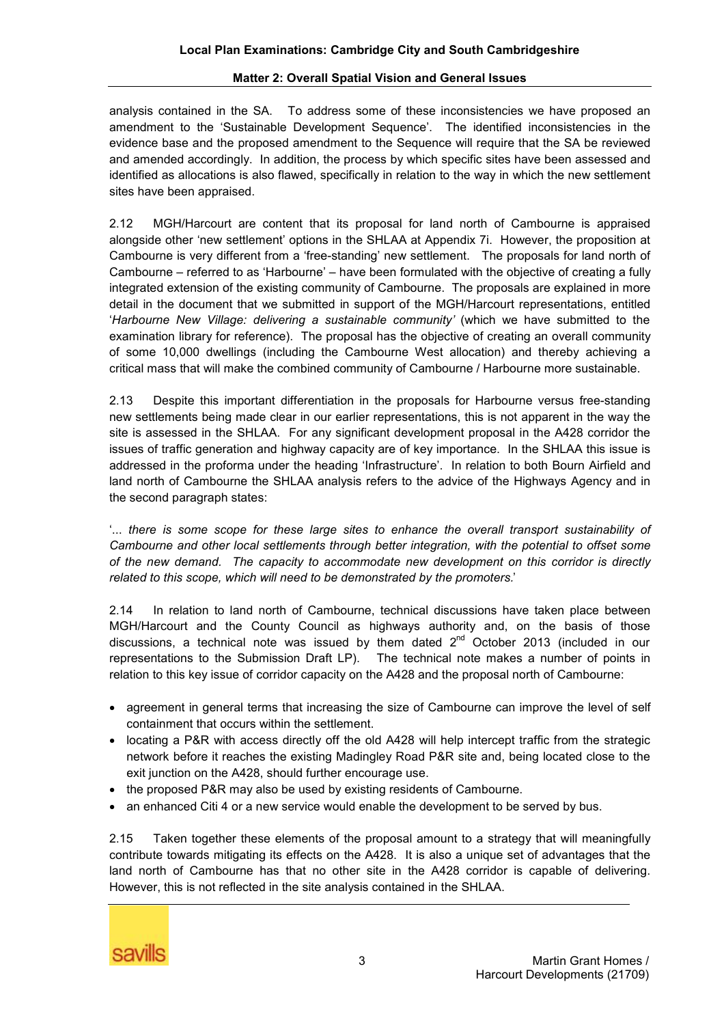analysis contained in the SA. To address some of these inconsistencies we have proposed an amendment to the 'Sustainable Development Sequence'. The identified inconsistencies in the evidence base and the proposed amendment to the Sequence will require that the SA be reviewed and amended accordingly. In addition, the process by which specific sites have been assessed and identified as allocations is also flawed, specifically in relation to the way in which the new settlement sites have been appraised.

2.12 MGH/Harcourt are content that its proposal for land north of Cambourne is appraised alongside other 'new settlement' options in the SHLAA at Appendix 7i. However, the proposition at Cambourne is very different from a 'free-standing' new settlement. The proposals for land north of Cambourne – referred to as 'Harbourne' – have been formulated with the objective of creating a fully integrated extension of the existing community of Cambourne. The proposals are explained in more detail in the document that we submitted in support of the MGH/Harcourt representations, entitled '*Harbourne New Village: delivering a sustainable community'* (which we have submitted to the examination library for reference). The proposal has the objective of creating an overall community of some 10,000 dwellings (including the Cambourne West allocation) and thereby achieving a critical mass that will make the combined community of Cambourne / Harbourne more sustainable.

2.13 Despite this important differentiation in the proposals for Harbourne versus free-standing new settlements being made clear in our earlier representations, this is not apparent in the way the site is assessed in the SHLAA. For any significant development proposal in the A428 corridor the issues of traffic generation and highway capacity are of key importance. In the SHLAA this issue is addressed in the proforma under the heading 'Infrastructure'. In relation to both Bourn Airfield and land north of Cambourne the SHLAA analysis refers to the advice of the Highways Agency and in the second paragraph states:

'... *there is some scope for these large sites to enhance the overall transport sustainability of Cambourne and other local settlements through better integration, with the potential to offset some of the new demand. The capacity to accommodate new development on this corridor is directly related to this scope, which will need to be demonstrated by the promoters.*'

2.14 In relation to land north of Cambourne, technical discussions have taken place between MGH/Harcourt and the County Council as highways authority and, on the basis of those discussions, a technical note was issued by them dated  $2^{nd}$  October 2013 (included in our representations to the Submission Draft LP). The technical note makes a number of points in relation to this key issue of corridor capacity on the A428 and the proposal north of Cambourne:

- · agreement in general terms that increasing the size of Cambourne can improve the level of self containment that occurs within the settlement.
- · locating a P&R with access directly off the old A428 will help intercept traffic from the strategic network before it reaches the existing Madingley Road P&R site and, being located close to the exit junction on the A428, should further encourage use.
- · the proposed P&R may also be used by existing residents of Cambourne.
- an enhanced Citi 4 or a new service would enable the development to be served by bus.

2.15 Taken together these elements of the proposal amount to a strategy that will meaningfully contribute towards mitigating its effects on the A428. It is also a unique set of advantages that the land north of Cambourne has that no other site in the A428 corridor is capable of delivering. However, this is not reflected in the site analysis contained in the SHLAA.